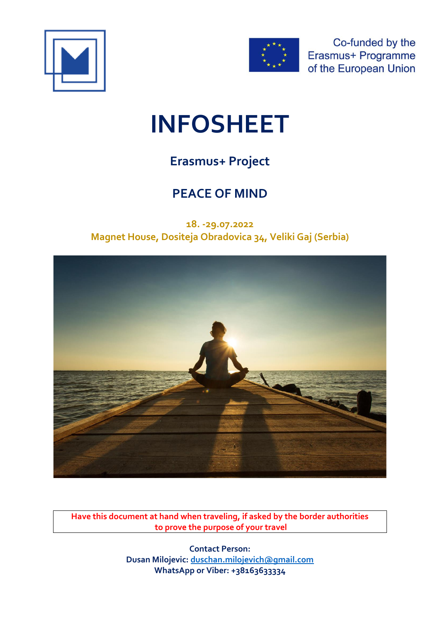



Co-funded by the Erasmus+ Programme of the European Union

# **INFOSHEET**

# **Erasmus+ Project**

# **PEACE OF MIND**

**18. -29.07.2022 Magnet House, Dositeja Obradovica 34, Veliki Gaj (Serbia)**



**Have this document at hand when traveling, if asked by the border authorities to prove the purpose of your travel**

> **Contact Person: Dusan Milojevic: [duschan.milojevich@gmail.com](mailto:duschan.milojevich@gmail.com) WhatsApp or Viber: +38163633334**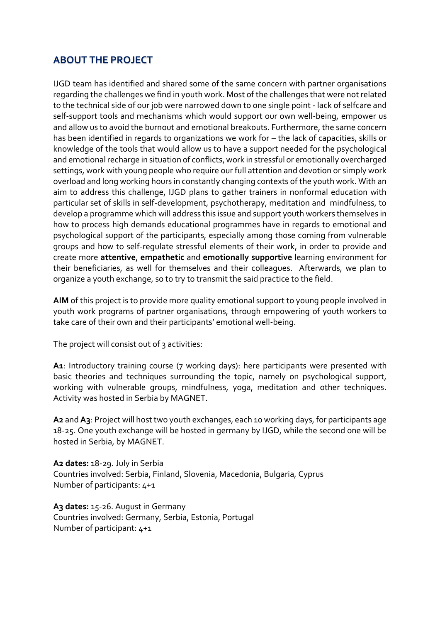# **ABOUT THE PROJECT**

IJGD team has identified and shared some of the same concern with partner organisations regarding the challenges we find in youth work. Most of the challenges that were not related to the technical side of our job were narrowed down to one single point - lack of selfcare and self-support tools and mechanisms which would support our own well-being, empower us and allow us to avoid the burnout and emotional breakouts. Furthermore, the same concern has been identified in regards to organizations we work for – the lack of capacities, skills or knowledge of the tools that would allow us to have a support needed for the psychological and emotional recharge in situation of conflicts, work in stressful or emotionally overcharged settings, work with young people who require our full attention and devotion or simply work overload and long working hours in constantly changing contexts of the youth work. With an aim to address this challenge, IJGD plans to gather trainers in nonformal education with particular set of skills in self-development, psychotherapy, meditation and mindfulness, to develop a programme which will address this issue and support youth workers themselves in how to process high demands educational programmes have in regards to emotional and psychological support of the participants, especially among those coming from vulnerable groups and how to self-regulate stressful elements of their work, in order to provide and create more **attentive**, **empathetic** and **emotionally supportive** learning environment for their beneficiaries, as well for themselves and their colleagues. Afterwards, we plan to organize a youth exchange, so to try to transmit the said practice to the field.

**AIM** of this project is to provide more quality emotional support to young people involved in youth work programs of partner organisations, through empowering of youth workers to take care of their own and their participants' emotional well-being.

The project will consist out of 3 activities:

A<sub>1</sub>: Introductory training course (7 working days): here participants were presented with basic theories and techniques surrounding the topic, namely on psychological support, working with vulnerable groups, mindfulness, yoga, meditation and other techniques. Activity was hosted in Serbia by MAGNET.

**A2** and **A3**: Project will host two youth exchanges, each 10 working days, for participants age 18-25. One youth exchange will be hosted in germany by IJGD, while the second one will be hosted in Serbia, by MAGNET.

**A2 dates:** 18-29. July in Serbia Countries involved: Serbia, Finland, Slovenia, Macedonia, Bulgaria, Cyprus Number of participants: 4+1

**A3 dates:** 15-26. August in Germany Countries involved: Germany, Serbia, Estonia, Portugal Number of participant: 4+1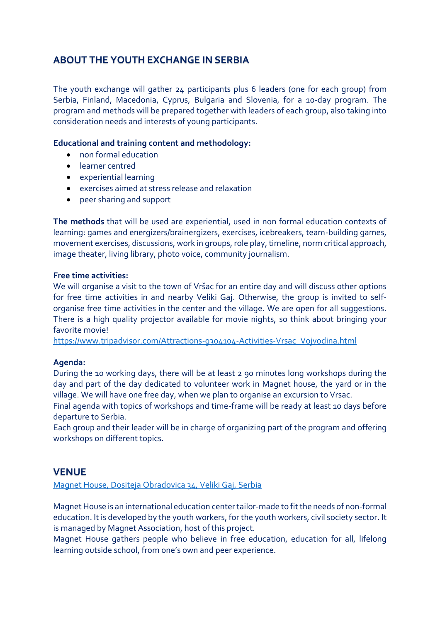# **ABOUT THE YOUTH EXCHANGE IN SERBIA**

The youth exchange will gather 24 participants plus 6 leaders (one for each group) from Serbia, Finland, Macedonia, Cyprus, Bulgaria and Slovenia, for a 10-day program. The program and methods will be prepared together with leaders of each group, also taking into consideration needs and interests of young participants.

#### **Educational and training content and methodology:**

- non formal education
- learner centred
- experiential learning
- exercises aimed at stress release and relaxation
- peer sharing and support

**The methods** that will be used are experiential, used in non formal education contexts of learning: games and energizers/brainergizers, exercises, icebreakers, team-building games, movement exercises, discussions, work in groups, role play, timeline, norm critical approach, image theater, living library, photo voice, community journalism.

#### **Free time activities:**

We will organise a visit to the town of Vršac for an entire day and will discuss other options for free time activities in and nearby Veliki Gaj. Otherwise, the group is invited to selforganise free time activities in the center and the village. We are open for all suggestions. There is a high quality projector available for movie nights, so think about bringing your favorite movie!

[https://www.tripadvisor.com/Attractions-g304104-Activities-Vrsac\\_Vojvodina.html](https://www.tripadvisor.com/Attractions-g304104-Activities-Vrsac_Vojvodina.html)

#### **Agenda:**

During the 10 working days, there will be at least 2 90 minutes long workshops during the day and part of the day dedicated to volunteer work in Magnet house, the yard or in the village. We will have one free day, when we plan to organise an excursion to Vrsac.

Final agenda with topics of workshops and time-frame will be ready at least 10 days before departure to Serbia.

Each group and their leader will be in charge of organizing part of the program and offering workshops on different topics.

### **VENUE**

[Magnet House, Dositeja Obradovica 34, Veliki Gaj, Serbia](https://goo.gl/maps/ZYgGosdAgLm84tEv5)

Magnet House is an international education center tailor-made to fit the needs of non-formal education. It is developed by the youth workers, for the youth workers, civil society sector. It is managed by Magnet Association, host of this project.

Magnet House gathers people who believe in free education, education for all, lifelong learning outside school, from one's own and peer experience.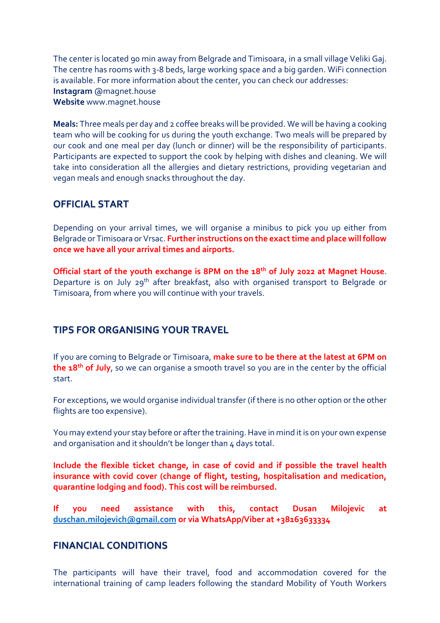The center is located 90 min away from Belgrade and Timisoara, in a small village Veliki Gaj. The centre has rooms with 3-8 beds, large working space and a big garden. WiFi connection is available. For more information about the center, you can check our addresses: **Instagram** @magnet.house **Website** www.magnet.house

**Meals:** Three meals per day and 2 coffee breaks will be provided. We will be having a cooking team who will be cooking for us during the youth exchange. Two meals will be prepared by our cook and one meal per day (lunch or dinner) will be the responsibility of participants. Participants are expected to support the cook by helping with dishes and cleaning. We will take into consideration all the allergies and dietary restrictions, providing vegetarian and vegan meals and enough snacks throughout the day.

# **OFFICIAL START**

Depending on your arrival times, we will organise a minibus to pick you up either from Belgrade or Timisoara or Vrsac. **Further instructions on the exact time and place will follow once we have all your arrival times and airports.**

**Official start of the youth exchange is 8PM on the 18th of July 2022 at Magnet House**. Departure is on July 29<sup>th</sup> after breakfast, also with organised transport to Belgrade or Timisoara, from where you will continue with your travels.

### **TIPS FOR ORGANISING YOUR TRAVEL**

If you are coming to Belgrade or Timisoara, **make sure to be there at the latest at 6PM on the 18th of July**, so we can organise a smooth travel so you are in the center by the official start.

For exceptions, we would organise individual transfer (if there is no other option or the other flights are too expensive).

You may extend your stay before or after the training. Have in mind it is on your own expense and organisation and it shouldn't be longer than 4 days total.

**Include the flexible ticket change, in case of covid and if possible the travel health insurance with covid cover (change of flight, testing, hospitalisation and medication, quarantine lodging and food). This cost will be reimbursed.**

**If you need assistance with this, contact Dusan Milojevic at [duschan.milojevich@gmail.com](mailto:duschan.milojevich@gmail.com) or via WhatsApp/Viber at +38163633334**

### **FINANCIAL CONDITIONS**

The participants will have their travel, food and accommodation covered for the international training of camp leaders following the standard Mobility of Youth Workers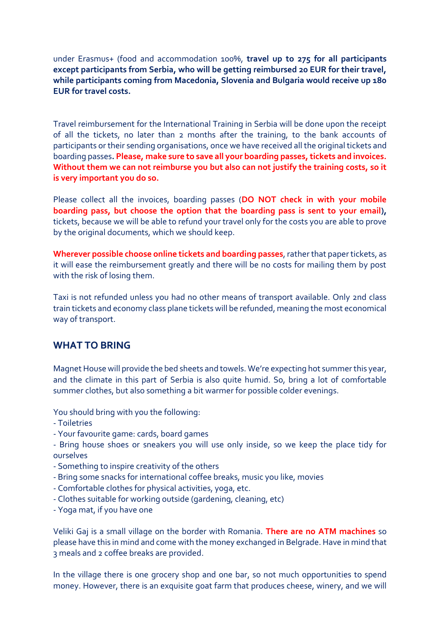under Erasmus+ (food and accommodation 100%, **travel up to 275 for all participants except participants from Serbia, who will be getting reimbursed 20 EUR for their travel, while participants coming from Macedonia, Slovenia and Bulgaria would receive up 180 EUR for travel costs.**

Travel reimbursement for the International Training in Serbia will be done upon the receipt of all the tickets, no later than 2 months after the training, to the bank accounts of participants or their sending organisations, once we have received all the original tickets and boarding passes**. Please, make sure to save all your boarding passes, tickets and invoices. Without them we can not reimburse you but also can not justify the training costs, so it is very important you do so.**

Please collect all the invoices, boarding passes (**DO NOT check in with your mobile boarding pass, but choose the option that the boarding pass is sent to your email),** tickets, because we will be able to refund your travel only for the costs you are able to prove by the original documents, which we should keep.

**Wherever possible choose online tickets and boarding passes**, rather that paper tickets, as it will ease the reimbursement greatly and there will be no costs for mailing them by post with the risk of losing them.

Taxi is not refunded unless you had no other means of transport available. Only 2nd class train tickets and economy class plane tickets will be refunded, meaning the most economical way of transport.

#### **WHAT TO BRING**

Magnet House will provide the bed sheets and towels. We're expecting hot summer this year, and the climate in this part of Serbia is also quite humid. So, bring a lot of comfortable summer clothes, but also something a bit warmer for possible colder evenings.

You should bring with you the following:

- Toiletries
- Your favourite game: cards, board games
- Bring house shoes or sneakers you will use only inside, so we keep the place tidy for ourselves
- Something to inspire creativity of the others
- Bring some snacks for international coffee breaks, music you like, movies
- Comfortable clothes for physical activities, yoga, etc.
- Clothes suitable for working outside (gardening, cleaning, etc)
- Yoga mat, if you have one

Veliki Gaj is a small village on the border with Romania. **There are no ATM machines** so please have this in mind and come with the money exchanged in Belgrade. Have in mind that 3 meals and 2 coffee breaks are provided.

In the village there is one grocery shop and one bar, so not much opportunities to spend money. However, there is an exquisite goat farm that produces cheese, winery, and we will